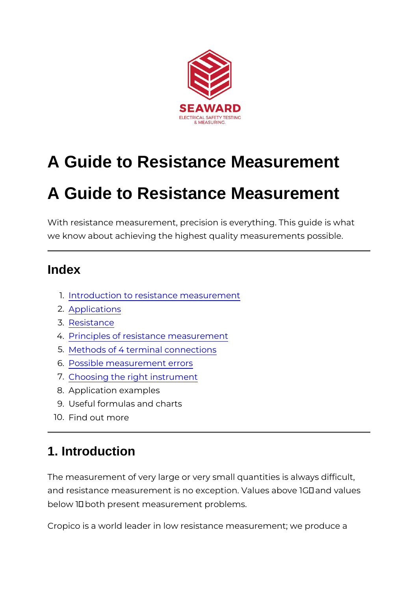# A Guide to Resistance Measurement

# A Guide to Resistance Measurement

With resistance measurement, precision is everything. This g we know about achieving the highest quality measurements po

### Index

- 1[.Introduction to resistance me](http://www.seaward.co.uk/resistance-measurement#one)asurement
- 2[.Applicati](http://www.seaward.co.uk/resistance-measurement#two)ons
- 3[.Resista](http://www.seaward.co.uk/resistance-measurement#three)nce
- 4.[Principles of resistance me](http://www.seaward.co.uk/resistance-measurement#four)asurement
- 5[.Methods of 4 terminal co](http://www.seaward.co.uk/resistance-measurement#five)nnections
- 6[.Possible measuremen](http://www.seaward.co.uk/resistance-measurement#six)t errors
- 7[.Choosing the right ins](http://www.seaward.co.uk/resistance-measurement#seven)trument
- 8.Application examples
- 9.Useful formulas and charts
- 10.Find out more

### 1. Introduction

The measurement of very large or very small quantities is alw and resistance measurement is no exception. Values above 10 below 1© both present measurement problems.

Cropico is a world leader in low resistance measurement; we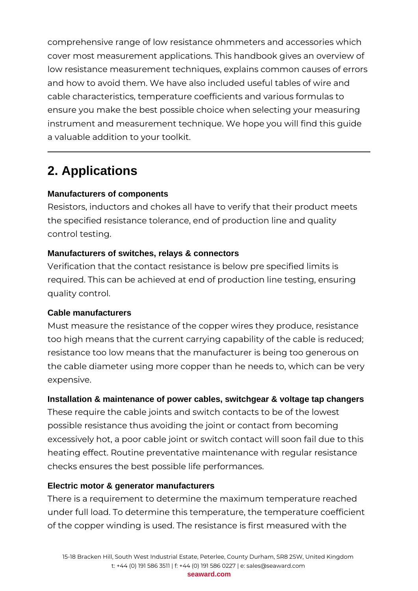comprehensive range of low resistance ohmmeters and accessories which cover most measurement applications. This handbook gives an overview of low resistance measurement techniques, explains common causes of errors and how to avoid them. We have also included useful tables of wire and cable characteristics, temperature coefficients and various formulas to ensure you make the best possible choice when selecting your measuring instrument and measurement technique. We hope you will find this guide a valuable addition to your toolkit.

# **2. Applications**

### **Manufacturers of components**

Resistors, inductors and chokes all have to verify that their product meets the specified resistance tolerance, end of production line and quality control testing.

### **Manufacturers of switches, relays & connectors**

Verification that the contact resistance is below pre specified limits is required. This can be achieved at end of production line testing, ensuring quality control.

### **Cable manufacturers**

Must measure the resistance of the copper wires they produce, resistance too high means that the current carrying capability of the cable is reduced; resistance too low means that the manufacturer is being too generous on the cable diameter using more copper than he needs to, which can be very expensive.

### **Installation & maintenance of power cables, switchgear & voltage tap changers**

These require the cable joints and switch contacts to be of the lowest possible resistance thus avoiding the joint or contact from becoming excessively hot, a poor cable joint or switch contact will soon fail due to this heating effect. Routine preventative maintenance with regular resistance checks ensures the best possible life performances.

### **Electric motor & generator manufacturers**

There is a requirement to determine the maximum temperature reached under full load. To determine this temperature, the temperature coefficient of the copper winding is used. The resistance is first measured with the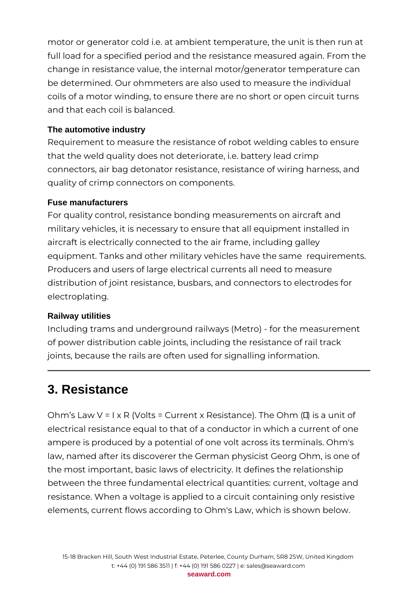motor or generator cold i.e. at ambient temperature, the unit is then run at full load for a specified period and the resistance measured again. From the change in resistance value, the internal motor/generator temperature can be determined. Our ohmmeters are also used to measure the individual coils of a motor winding, to ensure there are no short or open circuit turns and that each coil is balanced.

### **The automotive industry**

Requirement to measure the resistance of robot welding cables to ensure that the weld quality does not deteriorate, i.e. battery lead crimp connectors, air bag detonator resistance, resistance of wiring harness, and quality of crimp connectors on components.

### **Fuse manufacturers**

For quality control, resistance bonding measurements on aircraft and military vehicles, it is necessary to ensure that all equipment installed in aircraft is electrically connected to the air frame, including galley equipment. Tanks and other military vehicles have the same requirements. Producers and users of large electrical currents all need to measure distribution of joint resistance, busbars, and connectors to electrodes for electroplating.

### **Railway utilities**

Including trams and underground railways (Metro) - for the measurement of power distribution cable joints, including the resistance of rail track joints, because the rails are often used for signalling information.

# **3. Resistance**

Ohm's Law V = I x R (Volts = Current x Resistance). The Ohm (Ω) is a unit of electrical resistance equal to that of a conductor in which a current of one ampere is produced by a potential of one volt across its terminals. Ohm's law, named after its discoverer the German physicist Georg Ohm, is one of the most important, basic laws of electricity. It defines the relationship between the three fundamental electrical quantities: current, voltage and resistance. When a voltage is applied to a circuit containing only resistive elements, current flows according to Ohm's Law, which is shown below.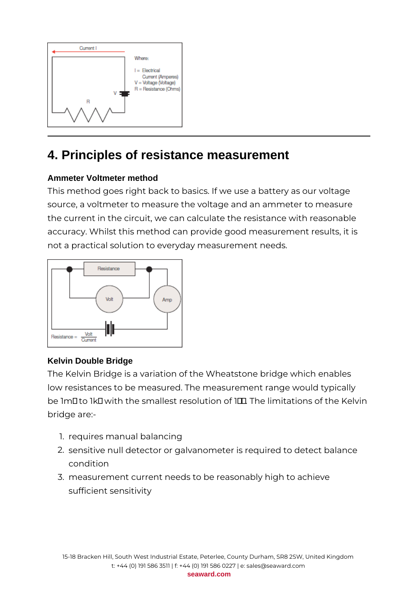

# **4. Principles of resistance measurement**

### **Ammeter Voltmeter method**

This method goes right back to basics. If we use a battery as our voltage source, a voltmeter to measure the voltage and an ammeter to measure the current in the circuit, we can calculate the resistance with reasonable accuracy. Whilst this method can provide good measurement results, it is not a practical solution to everyday measurement needs.



### **Kelvin Double Bridge**

The Kelvin Bridge is a variation of the Wheatstone bridge which enables low resistances to be measured. The measurement range would typically be 1mΩ to 1kΩ with the smallest resolution of 1□ The limitations of the Kelvin bridge are:-

- 1. requires manual balancing
- 2. sensitive null detector or galvanometer is required to detect balance condition
- 3. measurement current needs to be reasonably high to achieve sufficient sensitivity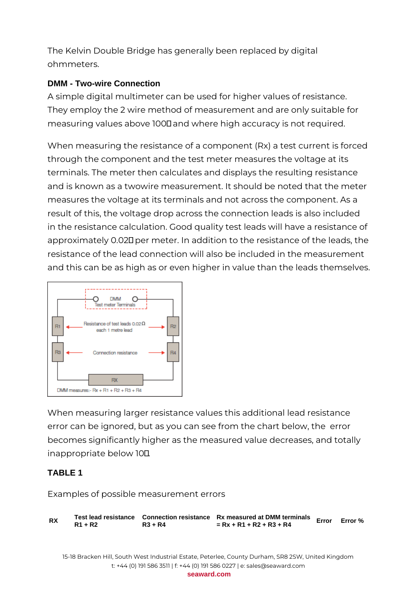The Kelvin Double Bridge has generally been replaced by digital ohmmeters.

### **DMM - Two-wire Connection**

A simple digital multimeter can be used for higher values of resistance. They employ the 2 wire method of measurement and are only suitable for measuring values above 1000 and where high accuracy is not required.

When measuring the resistance of a component (Rx) a test current is forced through the component and the test meter measures the voltage at its terminals. The meter then calculates and displays the resulting resistance and is known as a twowire measurement. It should be noted that the meter measures the voltage at its terminals and not across the component. As a result of this, the voltage drop across the connection leads is also included in the resistance calculation. Good quality test leads will have a resistance of approximately 0.02Ω per meter. In addition to the resistance of the leads, the resistance of the lead connection will also be included in the measurement and this can be as high as or even higher in value than the leads themselves.



When measuring larger resistance values this additional lead resistance error can be ignored, but as you can see from the chart below, the error becomes significantly higher as the measured value decreases, and totally inappropriate below 10Ω.

### **TABLE 1**

Examples of possible measurement errors

**RX Test lead resistance Connection resistance Rx measured at DMM terminals R1 + R2 R3 + R4 = Rx + R1 + R2 + R3 + R4 Error Error %** 15-18 Bracken Hill, South West Industrial Estate, Peterlee, County Durham, SR8 2SW, United Kingdom t: +44 (0) 191 586 3511 | f: +44 (0) 191 586 0227 | e: sales@seaward.com **seaward.com**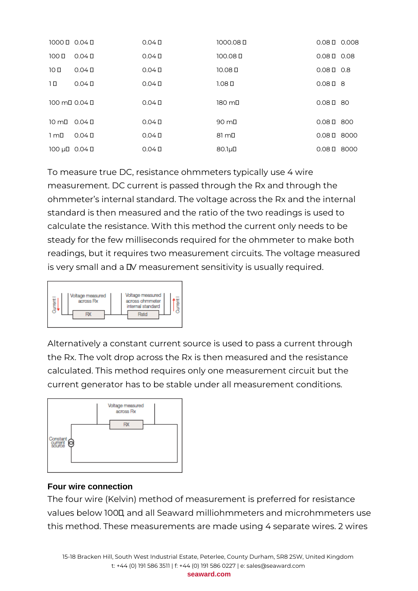| 100000000040          |                | $0.04 \square$ | 1000.08 П          | $0.08 \square$ 0.008 |      |
|-----------------------|----------------|----------------|--------------------|----------------------|------|
| 100 <sub>II</sub>     | $0.04 \square$ | $0.04\square$  | 100.08 0           | $0.08 \square$ 0.08  |      |
| 10 <sub>0</sub>       | $0.04 \square$ | $0.04 \square$ | 10.08 <sub>0</sub> | $0.08 \square$ 0.8   |      |
| 1 D                   | $0.04 \square$ | $0.04 \square$ | 1.08 <sub>II</sub> | $0.08 \square$ 8     |      |
| 100 ml 0.04 l         |                | $0.04 \square$ | 180 mD             | $0.08 \square$ 80    |      |
| $10 \text{ m}$ 0.04 D |                | $0.04 \square$ | $90 \text{ mL}$    | $0.08 \square 800$   |      |
| $1 \text{ mL}$        | $0.04 \square$ | $0.04 \square$ | $81 \text{ m}$     | $0.08 \square$ 8000  |      |
| 100 µD $0.04$ D       |                | $0.04 \square$ | $80.1 \mu$ D       | 0.08 <sub>II</sub>   | 8000 |

To measure true DC, resistance ohmmeters typically use 4 wire measurement. DC current is passed through the Rx and through the ohmmeter's internal standard. The voltage across the Rx and the internal standard is then measured and the ratio of the two readings is used to calculate the resistance. With this method the current only needs to be steady for the few milliseconds required for the ohmmeter to make both readings, but it requires two measurement circuits. The voltage measured is very small and a IV measurement sensitivity is usually required.



Alternatively a constant current source is used to pass a current through the Rx. The volt drop across the Rx is then measured and the resistance calculated. This method requires only one measurement circuit but the current generator has to be stable under all measurement conditions.



### **Four wire connection**

The four wire (Kelvin) method of measurement is preferred for resistance values below 100Ω, and all Seaward milliohmmeters and microhmmeters use this method. These measurements are made using 4 separate wires. 2 wires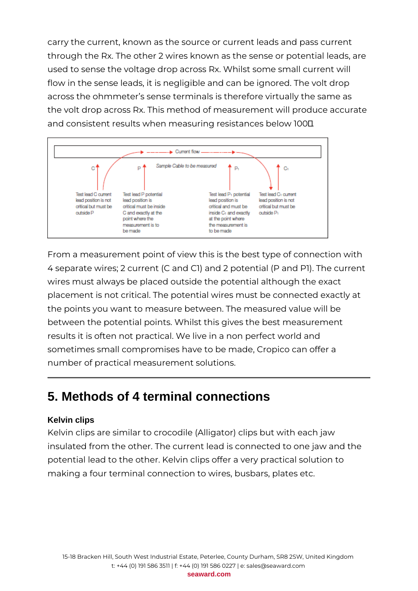carry the current, known as the source or current leads and pass current through the Rx. The other 2 wires known as the sense or potential leads, are used to sense the voltage drop across Rx. Whilst some small current will flow in the sense leads, it is negligible and can be ignored. The volt drop across the ohmmeter's sense terminals is therefore virtually the same as the volt drop across Rx. This method of measurement will produce accurate and consistent results when measuring resistances below 100Ω.



From a measurement point of view this is the best type of connection with 4 separate wires; 2 current (C and C1) and 2 potential (P and P1). The current wires must always be placed outside the potential although the exact placement is not critical. The potential wires must be connected exactly at the points you want to measure between. The measured value will be between the potential points. Whilst this gives the best measurement results it is often not practical. We live in a non perfect world and sometimes small compromises have to be made, Cropico can offer a number of practical measurement solutions.

# **5. Methods of 4 terminal connections**

### **Kelvin clips**

Kelvin clips are similar to crocodile (Alligator) clips but with each jaw insulated from the other. The current lead is connected to one jaw and the potential lead to the other. Kelvin clips offer a very practical solution to making a four terminal connection to wires, busbars, plates etc.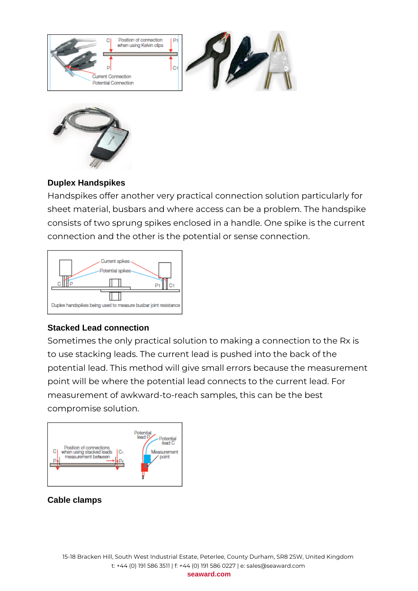



### **Duplex Handspikes**

Handspikes offer another very practical connection solution particularly for sheet material, busbars and where access can be a problem. The handspike consists of two sprung spikes enclosed in a handle. One spike is the current connection and the other is the potential or sense connection.



### **Stacked Lead connection**

Sometimes the only practical solution to making a connection to the Rx is to use stacking leads. The current lead is pushed into the back of the potential lead. This method will give small errors because the measurement point will be where the potential lead connects to the current lead. For measurement of awkward-to-reach samples, this can be the best compromise solution.



### **Cable clamps**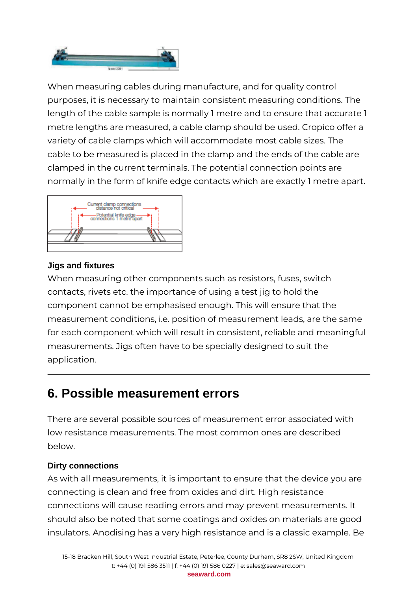

When measuring cables during manufacture, and for quality control purposes, it is necessary to maintain consistent measuring conditions. The length of the cable sample is normally 1 metre and to ensure that accurate 1 metre lengths are measured, a cable clamp should be used. Cropico offer a variety of cable clamps which will accommodate most cable sizes. The cable to be measured is placed in the clamp and the ends of the cable are clamped in the current terminals. The potential connection points are normally in the form of knife edge contacts which are exactly 1 metre apart.



### **Jigs and fixtures**

When measuring other components such as resistors, fuses, switch contacts, rivets etc. the importance of using a test jig to hold the component cannot be emphasised enough. This will ensure that the measurement conditions, i.e. position of measurement leads, are the same for each component which will result in consistent, reliable and meaningful measurements. Jigs often have to be specially designed to suit the application.

# **6. Possible measurement errors**

There are several possible sources of measurement error associated with low resistance measurements. The most common ones are described below.

### **Dirty connections**

As with all measurements, it is important to ensure that the device you are connecting is clean and free from oxides and dirt. High resistance connections will cause reading errors and may prevent measurements. It should also be noted that some coatings and oxides on materials are good insulators. Anodising has a very high resistance and is a classic example. Be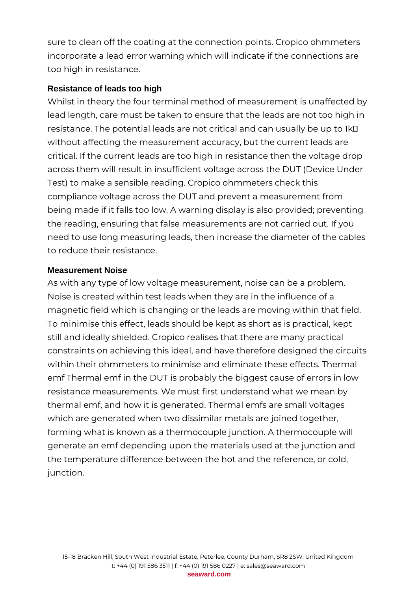sure to clean off the coating at the connection points. Cropico ohmmeters incorporate a lead error warning which will indicate if the connections are too high in resistance.

### **Resistance of leads too high**

Whilst in theory the four terminal method of measurement is unaffected by lead length, care must be taken to ensure that the leads are not too high in resistance. The potential leads are not critical and can usually be up to 1kΩ without affecting the measurement accuracy, but the current leads are critical. If the current leads are too high in resistance then the voltage drop across them will result in insufficient voltage across the DUT (Device Under Test) to make a sensible reading. Cropico ohmmeters check this compliance voltage across the DUT and prevent a measurement from being made if it falls too low. A warning display is also provided; preventing the reading, ensuring that false measurements are not carried out. If you need to use long measuring leads, then increase the diameter of the cables to reduce their resistance.

### **Measurement Noise**

As with any type of low voltage measurement, noise can be a problem. Noise is created within test leads when they are in the influence of a magnetic field which is changing or the leads are moving within that field. To minimise this effect, leads should be kept as short as is practical, kept still and ideally shielded. Cropico realises that there are many practical constraints on achieving this ideal, and have therefore designed the circuits within their ohmmeters to minimise and eliminate these effects. Thermal emf Thermal emf in the DUT is probably the biggest cause of errors in low resistance measurements. We must first understand what we mean by thermal emf, and how it is generated. Thermal emfs are small voltages which are generated when two dissimilar metals are joined together, forming what is known as a thermocouple junction. A thermocouple will generate an emf depending upon the materials used at the junction and the temperature difference between the hot and the reference, or cold, junction.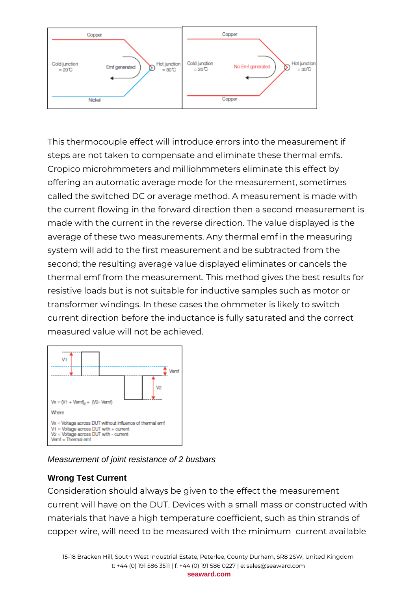

This thermocouple effect will introduce errors into the measurement if steps are not taken to compensate and eliminate these thermal emfs. Cropico microhmmeters and milliohmmeters eliminate this effect by offering an automatic average mode for the measurement, sometimes called the switched DC or average method. A measurement is made with the current flowing in the forward direction then a second measurement is made with the current in the reverse direction. The value displayed is the average of these two measurements. Any thermal emf in the measuring system will add to the first measurement and be subtracted from the second; the resulting average value displayed eliminates or cancels the thermal emf from the measurement. This method gives the best results for resistive loads but is not suitable for inductive samples such as motor or transformer windings. In these cases the ohmmeter is likely to switch current direction before the inductance is fully saturated and the correct measured value will not be achieved.



### Measurement of joint resistance of 2 busbars

### **Wrong Test Current**

Consideration should always be given to the effect the measurement current will have on the DUT. Devices with a small mass or constructed with materials that have a high temperature coefficient, such as thin strands of copper wire, will need to be measured with the minimum current available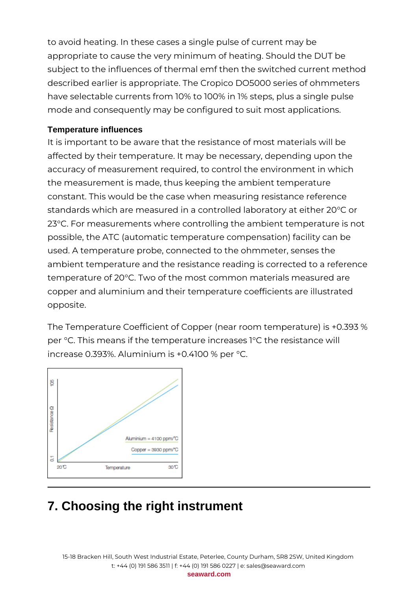to avoid heating. In these cases a single pulse of current may be appropriate to cause the very minimum of heating. Should the DUT be subject to the influences of thermal emf then the switched current method described earlier is appropriate. The Cropico DO5000 series of ohmmeters have selectable currents from 10% to 100% in 1% steps, plus a single pulse mode and consequently may be configured to suit most applications.

### **Temperature influences**

It is important to be aware that the resistance of most materials will be affected by their temperature. It may be necessary, depending upon the accuracy of measurement required, to control the environment in which the measurement is made, thus keeping the ambient temperature constant. This would be the case when measuring resistance reference standards which are measured in a controlled laboratory at either 20°C or 23°C. For measurements where controlling the ambient temperature is not possible, the ATC (automatic temperature compensation) facility can be used. A temperature probe, connected to the ohmmeter, senses the ambient temperature and the resistance reading is corrected to a reference temperature of 20°C. Two of the most common materials measured are copper and aluminium and their temperature coefficients are illustrated opposite.

The Temperature Coefficient of Copper (near room temperature) is +0.393 % per °C. This means if the temperature increases 1°C the resistance will increase 0.393%. Aluminium is +0.4100 % per °C.



# **7. Choosing the right instrument**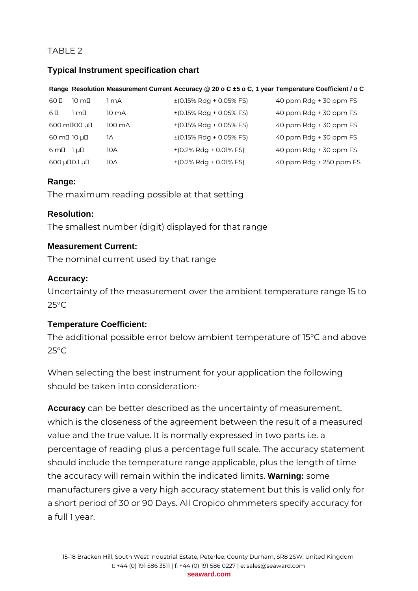### TABLE 2

### **Typical Instrument specification chart**

#### **Range Resolution Measurement Current Accuracy @ 20 o C ±5 o C, 1 year Temperature Coefficient / o C**

| 60 D<br>$10 \text{ m}$    | 1 mA            | $\pm$ (0.15% Rdg + 0.05% FS)                  | 40 ppm Rdg + 30 ppm FS  |
|---------------------------|-----------------|-----------------------------------------------|-------------------------|
| 6 D<br>1 m□               | $10 \text{ mA}$ | $\pm$ (0.15% Rdg + 0.05% FS)                  | 40 ppm Rdg + 30 ppm FS  |
| 600 mD00 µD               | 100 mA          | $\pm$ (0.15% Rdg + 0.05% FS)                  | 40 ppm Rdg + 30 ppm FS  |
| 60 mD 10 µD               | 1A              | $\pm$ (0.15% Rdg + 0.05% FS)                  | 40 ppm Rdg + 30 ppm FS  |
| $6 \text{ m}$ D $1 \mu$ D | 10A             | $\pm (0.2\% \text{ Rdg} + 0.01\% \text{ FS})$ | 40 ppm Rdg + 30 ppm FS  |
| $600 \mu$ DO.1 $\mu$ D    | 10A             | $\pm (0.2\% \text{ Rdg} + 0.01\% \text{ FS})$ | 40 ppm Rdg + 250 ppm FS |

### **Range:**

The maximum reading possible at that setting

### **Resolution:**

The smallest number (digit) displayed for that range

### **Measurement Current:**

The nominal current used by that range

### **Accuracy:**

Uncertainty of the measurement over the ambient temperature range 15 to 25°C

### **Temperature Coefficient:**

The additional possible error below ambient temperature of 15°C and above  $25^{\circ}$ C

When selecting the best instrument for your application the following should be taken into consideration:-

**Accuracy** can be better described as the uncertainty of measurement, which is the closeness of the agreement between the result of a measured value and the true value. It is normally expressed in two parts i.e. a percentage of reading plus a percentage full scale. The accuracy statement should include the temperature range applicable, plus the length of time the accuracy will remain within the indicated limits. **Warning:** some manufacturers give a very high accuracy statement but this is valid only for a short period of 30 or 90 Days. All Cropico ohmmeters specify accuracy for a full 1 year.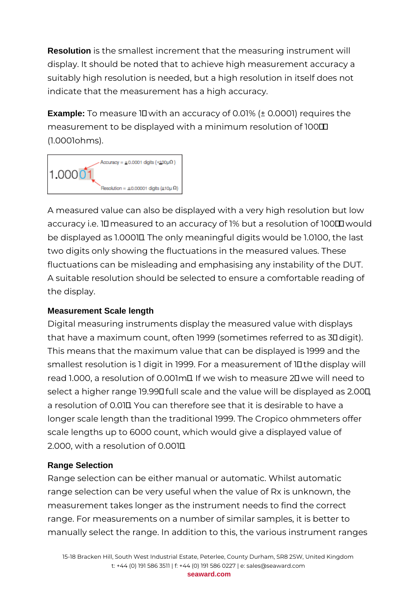**Resolution** is the smallest increment that the measuring instrument will display. It should be noted that to achieve high measurement accuracy a suitably high resolution is needed, but a high resolution in itself does not indicate that the measurement has a high accuracy.

**Example:** To measure 1Ω with an accuracy of 0.01% (± 0.0001) requires the measurement to be displayed with a minimum resolution of 100**Ⅲ** (1.0001ohms).



A measured value can also be displayed with a very high resolution but low accuracy i.e. 10 measured to an accuracy of 1% but a resolution of 100 $\Box$  would be displayed as 1.0001Ω. The only meaningful digits would be 1.0100, the last two digits only showing the fluctuations in the measured values. These fluctuations can be misleading and emphasising any instability of the DUT. A suitable resolution should be selected to ensure a comfortable reading of the display.

### **Measurement Scale length**

Digital measuring instruments display the measured value with displays that have a maximum count, often 1999 (sometimes referred to as 3Ω digit). This means that the maximum value that can be displayed is 1999 and the smallest resolution is 1 digit in 1999. For a measurement of 10 the display will read 1.000, a resolution of 0.001mΩ. If we wish to measure 2Ω we will need to select a higher range 19.99Ω full scale and the value will be displayed as 2.00Ω, a resolution of 0.01Ω. You can therefore see that it is desirable to have a longer scale length than the traditional 1999. The Cropico ohmmeters offer scale lengths up to 6000 count, which would give a displayed value of 2.000, with a resolution of 0.001Ω.

### **Range Selection**

Range selection can be either manual or automatic. Whilst automatic range selection can be very useful when the value of Rx is unknown, the measurement takes longer as the instrument needs to find the correct range. For measurements on a number of similar samples, it is better to manually select the range. In addition to this, the various instrument ranges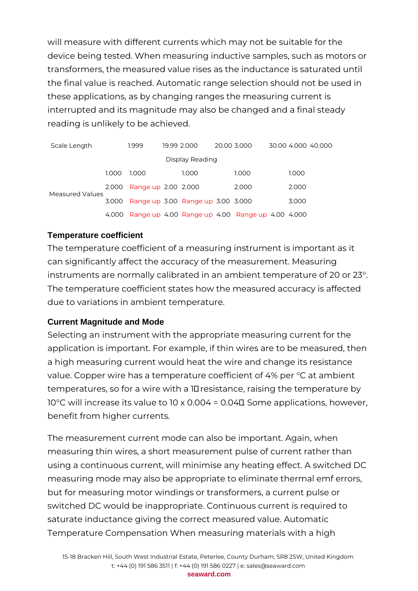will measure with different currents which may not be suitable for the device being tested. When measuring inductive samples, such as motors or transformers, the measured value rises as the inductance is saturated until the final value is reached. Automatic range selection should not be used in these applications, as by changing ranges the measuring current is interrupted and its magnitude may also be changed and a final steady reading is unlikely to be achieved.

| Scale Length    |       | 1.999               |  | 19.99 2.000                       |  | 20.00 3.000                                     |  |       | 30.00 4.000 40.000 |
|-----------------|-------|---------------------|--|-----------------------------------|--|-------------------------------------------------|--|-------|--------------------|
| Display Reading |       |                     |  |                                   |  |                                                 |  |       |                    |
|                 | 1.000 | 1.000               |  | 1.000                             |  | 1.000                                           |  | 1.000 |                    |
| Measured Values | 2.000 | Range up 2.00 2.000 |  |                                   |  | 2.000                                           |  | 2.000 |                    |
|                 | 3.000 |                     |  | Range up 3.00 Range up 3.00 3.000 |  |                                                 |  | 3.000 |                    |
|                 | 4.000 |                     |  |                                   |  | Range up 4.00 Range up 4.00 Range up 4.00 4.000 |  |       |                    |

#### **Temperature coefficient**

The temperature coefficient of a measuring instrument is important as it can significantly affect the accuracy of the measurement. Measuring instruments are normally calibrated in an ambient temperature of 20 or 23°. The temperature coefficient states how the measured accuracy is affected due to variations in ambient temperature.

### **Current Magnitude and Mode**

Selecting an instrument with the appropriate measuring current for the application is important. For example, if thin wires are to be measured, then a high measuring current would heat the wire and change its resistance value. Copper wire has a temperature coefficient of 4% per °C at ambient temperatures, so for a wire with a 1Ω resistance, raising the temperature by 10°C will increase its value to 10 x 0.004 = 0.04Ω. Some applications, however, benefit from higher currents.

The measurement current mode can also be important. Again, when measuring thin wires, a short measurement pulse of current rather than using a continuous current, will minimise any heating effect. A switched DC measuring mode may also be appropriate to eliminate thermal emf errors, but for measuring motor windings or transformers, a current pulse or switched DC would be inappropriate. Continuous current is required to saturate inductance giving the correct measured value. Automatic Temperature Compensation When measuring materials with a high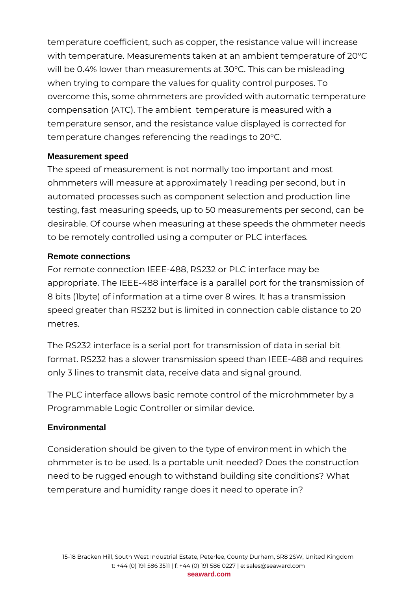temperature coefficient, such as copper, the resistance value will increase with temperature. Measurements taken at an ambient temperature of 20°C will be 0.4% lower than measurements at 30°C. This can be misleading when trying to compare the values for quality control purposes. To overcome this, some ohmmeters are provided with automatic temperature compensation (ATC). The ambient temperature is measured with a temperature sensor, and the resistance value displayed is corrected for temperature changes referencing the readings to 20°C.

### **Measurement speed**

The speed of measurement is not normally too important and most ohmmeters will measure at approximately 1 reading per second, but in automated processes such as component selection and production line testing, fast measuring speeds, up to 50 measurements per second, can be desirable. Of course when measuring at these speeds the ohmmeter needs to be remotely controlled using a computer or PLC interfaces.

### **Remote connections**

For remote connection IEEE-488, RS232 or PLC interface may be appropriate. The IEEE-488 interface is a parallel port for the transmission of 8 bits (1byte) of information at a time over 8 wires. It has a transmission speed greater than RS232 but is limited in connection cable distance to 20 metres.

The RS232 interface is a serial port for transmission of data in serial bit format. RS232 has a slower transmission speed than IEEE-488 and requires only 3 lines to transmit data, receive data and signal ground.

The PLC interface allows basic remote control of the microhmmeter by a Programmable Logic Controller or similar device.

### **Environmental**

Consideration should be given to the type of environment in which the ohmmeter is to be used. Is a portable unit needed? Does the construction need to be rugged enough to withstand building site conditions? What temperature and humidity range does it need to operate in?